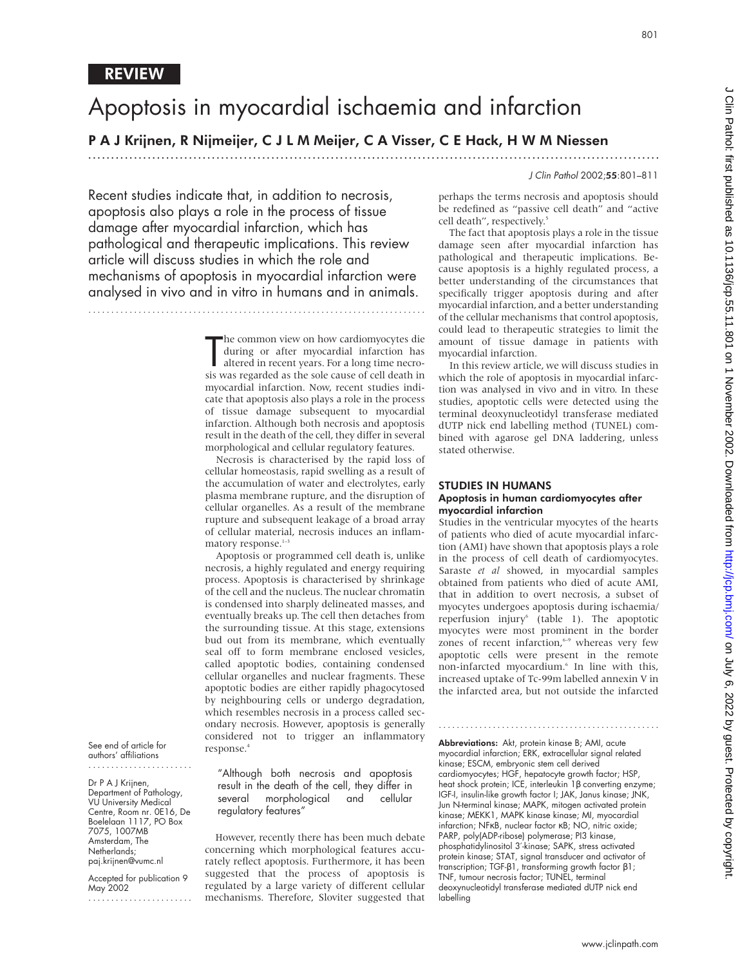## REVIEW

# Apoptosis in myocardial ischaemia and infarction

## P A J Krijnen, R Nijmeijer, C J L M Meijer, C A Visser, C E Hack, H W M Niessen

.............................................................................................................................

J Clin Pathol 2002;55:801–811

Recent studies indicate that, in addition to necrosis, apoptosis also plays a role in the process of tissue damage after myocardial infarction, which has pathological and therapeutic implications. This review article will discuss studies in which the role and mechanisms of apoptosis in myocardial infarction were analysed in vivo and in vitro in humans and in animals.

..........................................................................

The common view on how cardiomyocytes die<br>during or after myocardial infarction has<br>altered in recent years. For a long time necro-<br>sis was regarded as the sole cause of cell death in he common view on how cardiomyocytes die during or after myocardial infarction has altered in recent years. For a long time necromyocardial infarction. Now, recent studies indicate that apoptosis also plays a role in the process of tissue damage subsequent to myocardial infarction. Although both necrosis and apoptosis result in the death of the cell, they differ in several morphological and cellular regulatory features.

Necrosis is characterised by the rapid loss of cellular homeostasis, rapid swelling as a result of the accumulation of water and electrolytes, early plasma membrane rupture, and the disruption of cellular organelles. As a result of the membrane rupture and subsequent leakage of a broad array of cellular material, necrosis induces an inflammatory response.<sup>1-3</sup>

Apoptosis or programmed cell death is, unlike necrosis, a highly regulated and energy requiring process. Apoptosis is characterised by shrinkage of the cell and the nucleus. The nuclear chromatin is condensed into sharply delineated masses, and eventually breaks up. The cell then detaches from the surrounding tissue. At this stage, extensions bud out from its membrane, which eventually seal off to form membrane enclosed vesicles, called apoptotic bodies, containing condensed cellular organelles and nuclear fragments. These apoptotic bodies are either rapidly phagocytosed by neighbouring cells or undergo degradation, which resembles necrosis in a process called secondary necrosis. However, apoptosis is generally considered not to trigger an inflammatory response.<sup>4</sup>

"Although both necrosis and apoptosis result in the death of the cell, they differ in several morphological and cellular regulatory features"

However, recently there has been much debate concerning which morphological features accurately reflect apoptosis. Furthermore, it has been suggested that the process of apoptosis is regulated by a large variety of different cellular mechanisms. Therefore, Sloviter suggested that

perhaps the terms necrosis and apoptosis should be redefined as "passive cell death" and "active cell death", respectively.<sup>5</sup>

The fact that apoptosis plays a role in the tissue damage seen after myocardial infarction has pathological and therapeutic implications. Because apoptosis is a highly regulated process, a better understanding of the circumstances that specifically trigger apoptosis during and after myocardial infarction, and a better understanding of the cellular mechanisms that control apoptosis, could lead to therapeutic strategies to limit the amount of tissue damage in patients with myocardial infarction.

In this review article, we will discuss studies in which the role of apoptosis in myocardial infarction was analysed in vivo and in vitro. In these studies, apoptotic cells were detected using the terminal deoxynucleotidyl transferase mediated dUTP nick end labelling method (TUNEL) combined with agarose gel DNA laddering, unless stated otherwise.

### STUDIES IN HUMANS Apoptosis in human cardiomyocytes after myocardial infarction

Studies in the ventricular myocytes of the hearts of patients who died of acute myocardial infarction (AMI) have shown that apoptosis plays a role in the process of cell death of cardiomyocytes. Saraste *et al* showed, in myocardial samples obtained from patients who died of acute AMI, that in addition to overt necrosis, a subset of myocytes undergoes apoptosis during ischaemia/ reperfusion injury<sup>6</sup> (table 1). The apoptotic myocytes were most prominent in the border zones of recent infarction,<sup>6-9</sup> whereas very few apoptotic cells were present in the remote non-infarcted myocardium.<sup>6</sup> In line with this, increased uptake of Tc-99m labelled annexin V in the infarcted area, but not outside the infarcted

Abbreviations: Akt, protein kinase B; AMI, acute myocardial infarction; ERK, extracellular signal related kinase; ESCM, embryonic stem cell derived cardiomyocytes; HGF, hepatocyte growth factor; HSP, heat shock protein; ICE, interleukin 1β converting enzyme; IGF-I, insulin-like growth factor I; JAK, Janus kinase; JNK, Jun N-terminal kinase; MAPK, mitogen activated protein kinase; MEKK1, MAPK kinase kinase; MI, myocardial infarction; NFκB, nuclear factor κB; NO, nitric oxide; PARP, poly(ADP-ribose) polymerase; PI3 kinase, phosphatidylinositol 3′-kinase; SAPK, stress activated protein kinase; STAT, signal transducer and activator of transcription; TGF-β1, transforming growth factor β1; TNF, tumour necrosis factor; TUNEL, terminal deoxynucleotidyl transferase mediated dUTP nick end labelling

.................................................

See end of article for authors' affiliations .......................

Dr P A J Krijnen, Department of Pathology, VU University Medical Centre, Room nr. 0E16, De Boelelaan 1117, PO Box 7075, 1007MB Amsterdam, The Netherlands; paj.krijnen@vumc.nl

Accepted for publication 9 May 2002 .......................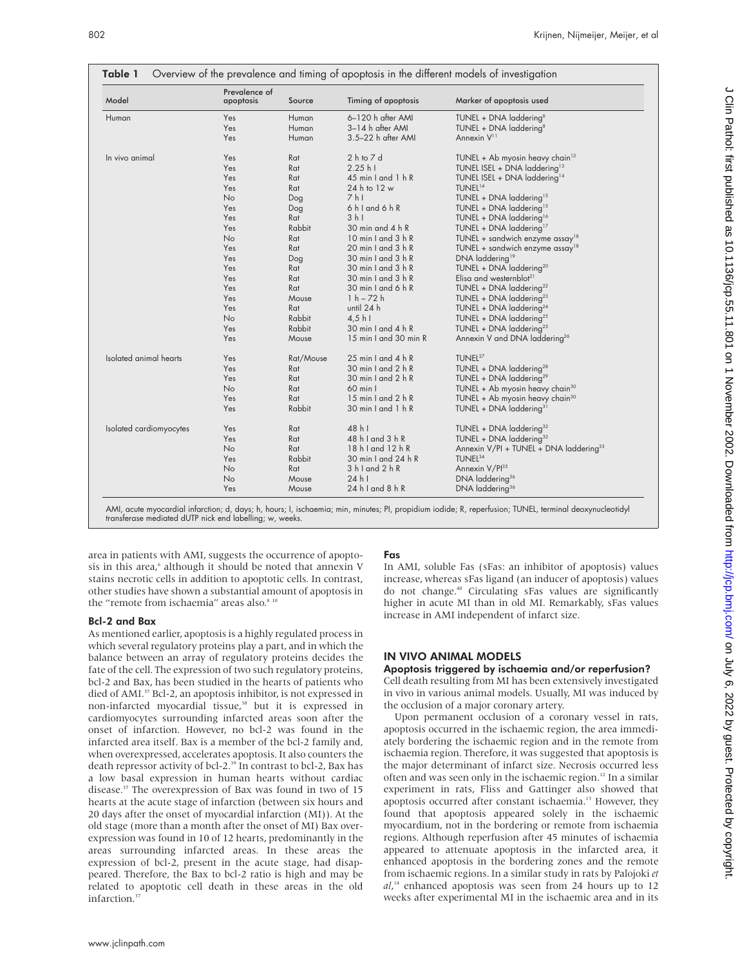| Model                   | Prevalence of<br>apoptosis | Source    | Timing of apoptosis                            | Marker of apoptosis used                           |  |
|-------------------------|----------------------------|-----------|------------------------------------------------|----------------------------------------------------|--|
| Human                   | Yes                        | Human     | 6-120 h after AMI                              | TUNEL + DNA laddering <sup>6</sup>                 |  |
|                         | Yes                        | Human     | 3-14 h after AMI                               | TUNEL + DNA laddering <sup>8</sup>                 |  |
|                         | Yes                        | Human     | 3.5-22 h after AMI                             | Annexin V <sup>11</sup>                            |  |
| In vivo animal          | Yes                        | Rat       | $2h$ to $7d$                                   | TUNEL + Ab myosin heavy chain <sup>12</sup>        |  |
|                         | Yes                        | Rat       | 2.25h1                                         | TUNEL ISEL + DNA laddering <sup>13</sup>           |  |
|                         | Yes                        | Rat       | 45 min I and 1 h R                             | TUNEL ISEL + DNA laddering <sup>14</sup>           |  |
|                         | Yes                        | Rat       | 24 h to 12 w                                   | TUNEL <sup>14</sup>                                |  |
|                         | No                         | Dog       | 7 h I                                          | TUNEL + DNA laddering <sup>15</sup>                |  |
|                         | Yes                        | Dog       | $6 h$ l and $6 h$ R                            | TUNEL + DNA laddering <sup>15</sup>                |  |
|                         | Yes                        | Rat       | 3 h1                                           | TUNEL + DNA laddering <sup>16</sup>                |  |
|                         | Yes                        | Rabbit    | $30$ min and $4$ h R                           | TUNEL + DNA laddering <sup>17</sup>                |  |
|                         | No                         | Rat       | $10 \text{ min}$ I and $3 \text{ h} \text{ R}$ | TUNEL + sandwich enzyme assay <sup>18</sup>        |  |
|                         | Yes                        | Rat       | 20 min I and 3 h R                             | TUNEL + sandwich enzyme assay <sup>18</sup>        |  |
|                         | Yes                        | Dog       | 30 min I and 3 h R                             | DNA laddering <sup>19</sup>                        |  |
|                         | Yes                        | Rat       | 30 min I and 3 h R                             | TUNEL + DNA laddering <sup>20</sup>                |  |
|                         | Yes                        | Rat       | 30 min I and 3 h R                             | Elisa and westernblot <sup>21</sup>                |  |
|                         | Yes                        | Rat       | 30 min I and 6 h R                             | TUNEL + DNA laddering <sup>22</sup>                |  |
|                         | Yes                        | Mouse     | $1 h - 72 h$                                   | TUNEL + DNA laddering <sup>23</sup>                |  |
|                         | Yes                        | Rat       | until 24 h                                     | TUNEL + DNA laddering <sup>24</sup>                |  |
|                         | N <sub>o</sub>             | Rabbit    | $4.5$ h I                                      | TUNEL + DNA laddering <sup>25</sup>                |  |
|                         | Yes                        | Rabbit    | $30 \text{ min}$ I and $4 \text{ h}$ R         | TUNEL + DNA laddering <sup>25</sup>                |  |
|                         | Yes                        | Mouse     | 15 min I and 30 min R                          | Annexin V and DNA laddering <sup>26</sup>          |  |
| Isolated animal hearts  | Yes                        | Rat/Mouse | 25 min $1$ and $4$ h R                         | TUNEL <sup>27</sup>                                |  |
|                         | Yes                        | Rat       | $30 \text{ min}$ I and $2 \text{ h R}$         | TUNEL + DNA laddering <sup>28</sup>                |  |
|                         | Yes                        | Rat       | 30 min I and 2 h R                             | TUNEL + DNA laddering <sup>29</sup>                |  |
|                         | No                         | Rat       | 60 min I                                       | TUNEL + Ab myosin heavy chain <sup>30</sup>        |  |
|                         | Yes                        | Rat       | $15$ min I and $2$ h R                         | TUNEL + Ab myosin heavy chain <sup>30</sup>        |  |
|                         | Yes                        | Rabbit    | 30 min I and 1 h R                             | TUNEL + DNA laddering <sup>31</sup>                |  |
| Isolated cardiomyocytes | Yes                        | Rat       | 48 h l                                         | TUNEL + DNA laddering $32$                         |  |
|                         | Yes                        | Rat       | $48h$ l and $3h$ R                             | TUNEL + DNA laddering $32$                         |  |
|                         | No                         | Rat       | 18 h I and 12 h R                              | Annexin V/PI + TUNEL + DNA laddering <sup>33</sup> |  |
|                         | Yes                        | Rabbit    | 30 min I and 24 h R                            | TUNEL <sup>34</sup>                                |  |
|                         | No                         | Rat       | $3 h$ l and $2 h$ R                            | Annexin V/Pl35                                     |  |
|                         | No                         | Mouse     | 24h1                                           | DNA laddering <sup>36</sup>                        |  |
|                         | Yes                        | Mouse     | $24h$ l and $8hR$                              | DNA laddering <sup>36</sup>                        |  |

AMI, acute myocardial infarction; d, days; h, hours; I, ischaemia; min, minutes; PI, propidium iodide; R, reperfusion; TUNEL, terminal deoxynucleotidyl transferase mediated dUTP nick end labelling; w, weeks.

area in patients with AMI, suggests the occurrence of apoptosis in this area,<sup>6</sup> although it should be noted that annexin V stains necrotic cells in addition to apoptotic cells. In contrast, other studies have shown a substantial amount of apoptosis in the "remote from ischaemia" areas also.<sup>8 10</sup>

## Bcl-2 and Bax

As mentioned earlier, apoptosis is a highly regulated process in which several regulatory proteins play a part, and in which the balance between an array of regulatory proteins decides the fate of the cell. The expression of two such regulatory proteins, bcl-2 and Bax, has been studied in the hearts of patients who died of AMI.<sup>37</sup> Bcl-2, an apoptosis inhibitor, is not expressed in non-infarcted myocardial tissue,<sup>38</sup> but it is expressed in cardiomyocytes surrounding infarcted areas soon after the onset of infarction. However, no bcl-2 was found in the infarcted area itself. Bax is a member of the bcl-2 family and, when overexpressed, accelerates apoptosis. It also counters the death repressor activity of bcl-2.<sup>39</sup> In contrast to bcl-2, Bax has a low basal expression in human hearts without cardiac disease.<sup>37</sup> The overexpression of Bax was found in two of 15 hearts at the acute stage of infarction (between six hours and 20 days after the onset of myocardial infarction (MI)). At the old stage (more than a month after the onset of MI) Bax overexpression was found in 10 of 12 hearts, predominantly in the areas surrounding infarcted areas. In these areas the expression of bcl-2, present in the acute stage, had disappeared. Therefore, the Bax to bcl-2 ratio is high and may be related to apoptotic cell death in these areas in the old infarction.<sup>37</sup>

## Fas

In AMI, soluble Fas (sFas: an inhibitor of apoptosis) values increase, whereas sFas ligand (an inducer of apoptosis) values do not change.40 Circulating sFas values are significantly higher in acute MI than in old MI. Remarkably, sFas values increase in AMI independent of infarct size.

## IN VIVO ANIMAL MODELS

## Apoptosis triggered by ischaemia and/or reperfusion?

Cell death resulting from MI has been extensively investigated in vivo in various animal models. Usually, MI was induced by the occlusion of a major coronary artery.

Upon permanent occlusion of a coronary vessel in rats, apoptosis occurred in the ischaemic region, the area immediately bordering the ischaemic region and in the remote from ischaemia region. Therefore, it was suggested that apoptosis is the major determinant of infarct size. Necrosis occurred less often and was seen only in the ischaemic region.<sup>12</sup> In a similar experiment in rats, Fliss and Gattinger also showed that apoptosis occurred after constant ischaemia.<sup>13</sup> However, they found that apoptosis appeared solely in the ischaemic myocardium, not in the bordering or remote from ischaemia regions. Although reperfusion after 45 minutes of ischaemia appeared to attenuate apoptosis in the infarcted area, it enhanced apoptosis in the bordering zones and the remote from ischaemic regions. In a similar study in rats by Palojoki *et al*, <sup>14</sup> enhanced apoptosis was seen from 24 hours up to 12 weeks after experimental MI in the ischaemic area and in its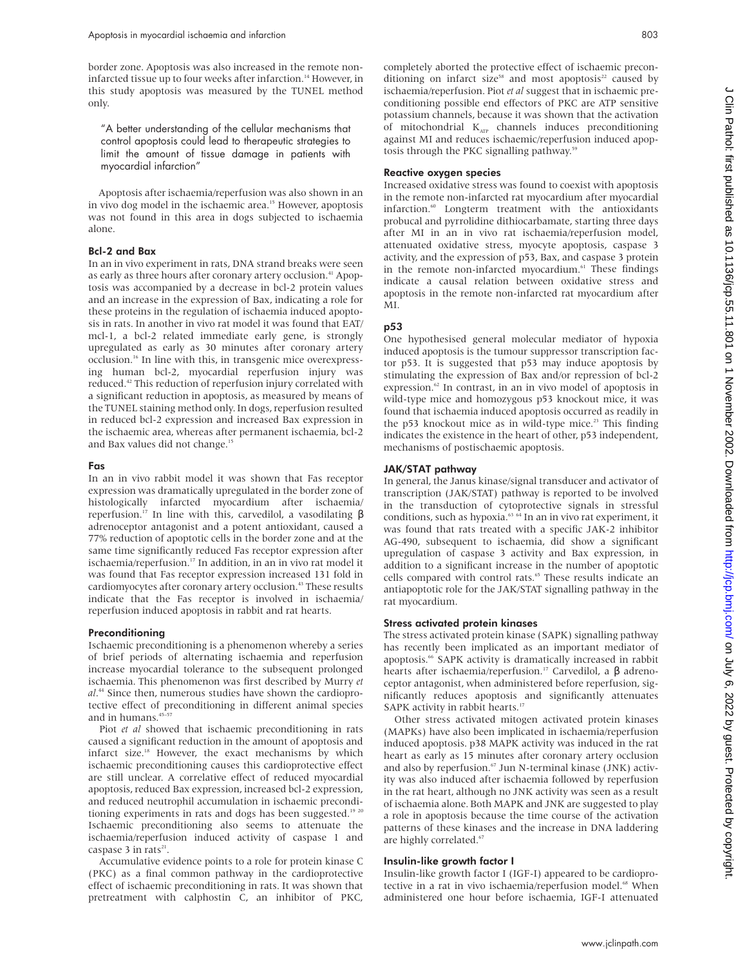border zone. Apoptosis was also increased in the remote noninfarcted tissue up to four weeks after infarction.<sup>14</sup> However, in this study apoptosis was measured by the TUNEL method only.

"A better understanding of the cellular mechanisms that control apoptosis could lead to therapeutic strategies to limit the amount of tissue damage in patients with myocardial infarction"

Apoptosis after ischaemia/reperfusion was also shown in an in vivo dog model in the ischaemic area.<sup>15</sup> However, apoptosis was not found in this area in dogs subjected to ischaemia alone.

#### Bcl-2 and Bax

In an in vivo experiment in rats, DNA strand breaks were seen as early as three hours after coronary artery occlusion.<sup>41</sup> Apoptosis was accompanied by a decrease in bcl-2 protein values and an increase in the expression of Bax, indicating a role for these proteins in the regulation of ischaemia induced apoptosis in rats. In another in vivo rat model it was found that EAT/ mcl-1, a bcl-2 related immediate early gene, is strongly upregulated as early as 30 minutes after coronary artery occlusion.<sup>16</sup> In line with this, in transgenic mice overexpressing human bcl-2, myocardial reperfusion injury was reduced.42 This reduction of reperfusion injury correlated with a significant reduction in apoptosis, as measured by means of the TUNEL staining method only. In dogs, reperfusion resulted in reduced bcl-2 expression and increased Bax expression in the ischaemic area, whereas after permanent ischaemia, bcl-2 and Bax values did not change.<sup>15</sup>

#### Fas

In an in vivo rabbit model it was shown that Fas receptor expression was dramatically upregulated in the border zone of histologically infarcted myocardium after ischaemia/ reperfusion.17 In line with this, carvedilol, a vasodilating β adrenoceptor antagonist and a potent antioxidant, caused a 77% reduction of apoptotic cells in the border zone and at the same time significantly reduced Fas receptor expression after ischaemia/reperfusion.17 In addition, in an in vivo rat model it was found that Fas receptor expression increased 131 fold in cardiomyocytes after coronary artery occlusion.<sup>43</sup> These results indicate that the Fas receptor is involved in ischaemia/ reperfusion induced apoptosis in rabbit and rat hearts.

## **Preconditioning**

Ischaemic preconditioning is a phenomenon whereby a series of brief periods of alternating ischaemia and reperfusion increase myocardial tolerance to the subsequent prolonged ischaemia. This phenomenon was first described by Murry *et al*. <sup>44</sup> Since then, numerous studies have shown the cardioprotective effect of preconditioning in different animal species and in humans.<sup>45</sup>

Piot *et al* showed that ischaemic preconditioning in rats caused a significant reduction in the amount of apoptosis and infarct size.<sup>18</sup> However, the exact mechanisms by which ischaemic preconditioning causes this cardioprotective effect are still unclear. A correlative effect of reduced myocardial apoptosis, reduced Bax expression, increased bcl-2 expression, and reduced neutrophil accumulation in ischaemic preconditioning experiments in rats and dogs has been suggested.<sup>19 20</sup> Ischaemic preconditioning also seems to attenuate the ischaemia/reperfusion induced activity of caspase 1 and caspase 3 in rats $21$ .

Accumulative evidence points to a role for protein kinase C (PKC) as a final common pathway in the cardioprotective effect of ischaemic preconditioning in rats. It was shown that pretreatment with calphostin C, an inhibitor of PKC,

completely aborted the protective effect of ischaemic preconditioning on infarct size<sup>58</sup> and most apoptosis<sup>22</sup> caused by ischaemia/reperfusion. Piot *et al* suggest that in ischaemic preconditioning possible end effectors of PKC are ATP sensitive potassium channels, because it was shown that the activation of mitochondrial  $K_{ATP}$  channels induces preconditioning against MI and reduces ischaemic/reperfusion induced apoptosis through the PKC signalling pathway.<sup>59</sup>

#### Reactive oxygen species

Increased oxidative stress was found to coexist with apoptosis in the remote non-infarcted rat myocardium after myocardial infarction.<sup>60</sup> Longterm treatment with the antioxidants probucal and pyrrolidine dithiocarbamate, starting three days after MI in an in vivo rat ischaemia/reperfusion model, attenuated oxidative stress, myocyte apoptosis, caspase 3 activity, and the expression of p53, Bax, and caspase 3 protein in the remote non-infarcted myocardium.<sup>61</sup> These findings indicate a causal relation between oxidative stress and apoptosis in the remote non-infarcted rat myocardium after MI.

## p53

One hypothesised general molecular mediator of hypoxia induced apoptosis is the tumour suppressor transcription factor p53. It is suggested that p53 may induce apoptosis by stimulating the expression of Bax and/or repression of bcl-2 expression.<sup>62</sup> In contrast, in an in vivo model of apoptosis in wild-type mice and homozygous p53 knockout mice, it was found that ischaemia induced apoptosis occurred as readily in the p53 knockout mice as in wild-type mice.<sup>23</sup> This finding indicates the existence in the heart of other, p53 independent, mechanisms of postischaemic apoptosis.

## JAK/STAT pathway

In general, the Janus kinase/signal transducer and activator of transcription (JAK/STAT) pathway is reported to be involved in the transduction of cytoprotective signals in stressful conditions, such as hypoxia.<sup>63</sup> <sup>64</sup> In an in vivo rat experiment, it was found that rats treated with a specific JAK-2 inhibitor AG-490, subsequent to ischaemia, did show a significant upregulation of caspase 3 activity and Bax expression, in addition to a significant increase in the number of apoptotic cells compared with control rats.<sup>65</sup> These results indicate an antiapoptotic role for the JAK/STAT signalling pathway in the rat myocardium.

## Stress activated protein kinases

The stress activated protein kinase (SAPK) signalling pathway has recently been implicated as an important mediator of apoptosis.<sup>66</sup> SAPK activity is dramatically increased in rabbit hearts after ischaemia/reperfusion.<sup>17</sup> Carvedilol, a β adrenoceptor antagonist, when administered before reperfusion, significantly reduces apoptosis and significantly attenuates SAPK activity in rabbit hearts.<sup>17</sup>

Other stress activated mitogen activated protein kinases (MAPKs) have also been implicated in ischaemia/reperfusion induced apoptosis. p38 MAPK activity was induced in the rat heart as early as 15 minutes after coronary artery occlusion and also by reperfusion.<sup>67</sup> Jun N-terminal kinase (JNK) activity was also induced after ischaemia followed by reperfusion in the rat heart, although no JNK activity was seen as a result of ischaemia alone. Both MAPK and JNK are suggested to play a role in apoptosis because the time course of the activation patterns of these kinases and the increase in DNA laddering are highly correlated.<sup>67</sup>

## Insulin-like growth factor I

Insulin-like growth factor I (IGF-I) appeared to be cardioprotective in a rat in vivo ischaemia/reperfusion model.<sup>68</sup> When administered one hour before ischaemia, IGF-I attenuated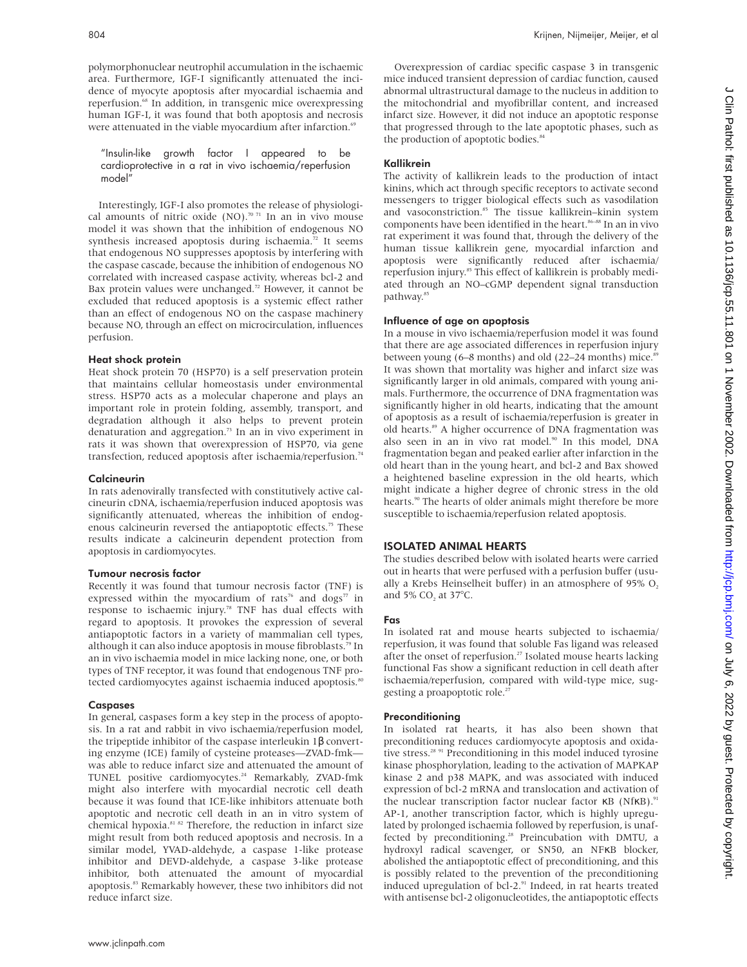polymorphonuclear neutrophil accumulation in the ischaemic area. Furthermore, IGF-I significantly attenuated the incidence of myocyte apoptosis after myocardial ischaemia and reperfusion.<sup>68</sup> In addition, in transgenic mice overexpressing human IGF-I, it was found that both apoptosis and necrosis were attenuated in the viable myocardium after infarction.<sup>69</sup>

"Insulin-like growth factor I appeared to be cardioprotective in a rat in vivo ischaemia/reperfusion model"

Interestingly, IGF-I also promotes the release of physiological amounts of nitric oxide  $(NO)$ .<sup>70 71</sup> In an in vivo mouse model it was shown that the inhibition of endogenous NO synthesis increased apoptosis during ischaemia.<sup>72</sup> It seems that endogenous NO suppresses apoptosis by interfering with the caspase cascade, because the inhibition of endogenous NO correlated with increased caspase activity, whereas bcl-2 and Bax protein values were unchanged.<sup>72</sup> However, it cannot be excluded that reduced apoptosis is a systemic effect rather than an effect of endogenous NO on the caspase machinery because NO, through an effect on microcirculation, influences perfusion.

#### Heat shock protein

Heat shock protein 70 (HSP70) is a self preservation protein that maintains cellular homeostasis under environmental stress. HSP70 acts as a molecular chaperone and plays an important role in protein folding, assembly, transport, and degradation although it also helps to prevent protein denaturation and aggregation.<sup>73</sup> In an in vivo experiment in rats it was shown that overexpression of HSP70, via gene transfection, reduced apoptosis after ischaemia/reperfusion.<sup>74</sup>

#### **Calcineurin**

In rats adenovirally transfected with constitutively active calcineurin cDNA, ischaemia/reperfusion induced apoptosis was significantly attenuated, whereas the inhibition of endogenous calcineurin reversed the antiapoptotic effects.<sup>75</sup> These results indicate a calcineurin dependent protection from apoptosis in cardiomyocytes.

#### Tumour necrosis factor

Recently it was found that tumour necrosis factor (TNF) is expressed within the myocardium of rats<sup>76</sup> and dogs<sup>77</sup> in response to ischaemic injury.78 TNF has dual effects with regard to apoptosis. It provokes the expression of several antiapoptotic factors in a variety of mammalian cell types, although it can also induce apoptosis in mouse fibroblasts.79 In an in vivo ischaemia model in mice lacking none, one, or both types of TNF receptor, it was found that endogenous TNF protected cardiomyocytes against ischaemia induced apoptosis.<sup>80</sup>

### **Caspases**

In general, caspases form a key step in the process of apoptosis. In a rat and rabbit in vivo ischaemia/reperfusion model, the tripeptide inhibitor of the caspase interleukin 1β converting enzyme (ICE) family of cysteine proteases—ZVAD-fmk was able to reduce infarct size and attenuated the amount of TUNEL positive cardiomyocytes.<sup>24</sup> Remarkably, ZVAD-fmk might also interfere with myocardial necrotic cell death because it was found that ICE-like inhibitors attenuate both apoptotic and necrotic cell death in an in vitro system of chemical hypoxia.<sup>81 82</sup> Therefore, the reduction in infarct size might result from both reduced apoptosis and necrosis. In a similar model, YVAD-aldehyde, a caspase 1-like protease inhibitor and DEVD-aldehyde, a caspase 3-like protease inhibitor, both attenuated the amount of myocardial apoptosis.83 Remarkably however, these two inhibitors did not reduce infarct size.

Overexpression of cardiac specific caspase 3 in transgenic mice induced transient depression of cardiac function, caused abnormal ultrastructural damage to the nucleus in addition to the mitochondrial and myofibrillar content, and increased infarct size. However, it did not induce an apoptotic response that progressed through to the late apoptotic phases, such as the production of apoptotic bodies.<sup>84</sup>

## Kallikrein

The activity of kallikrein leads to the production of intact kinins, which act through specific receptors to activate second messengers to trigger biological effects such as vasodilation and vasoconstriction.<sup>85</sup> The tissue kallikrein–kinin system components have been identified in the heart.<sup>86-88</sup> In an in vivo rat experiment it was found that, through the delivery of the human tissue kallikrein gene, myocardial infarction and apoptosis were significantly reduced after ischaemia/ reperfusion injury.<sup>85</sup> This effect of kallikrein is probably mediated through an NO–cGMP dependent signal transduction pathway.<sup>85</sup>

#### Influence of age on apoptosis

In a mouse in vivo ischaemia/reperfusion model it was found that there are age associated differences in reperfusion injury between young (6–8 months) and old (22–24 months) mice.<sup>89</sup> It was shown that mortality was higher and infarct size was significantly larger in old animals, compared with young animals. Furthermore, the occurrence of DNA fragmentation was significantly higher in old hearts, indicating that the amount of apoptosis as a result of ischaemia/reperfusion is greater in old hearts.<sup>89</sup> A higher occurrence of DNA fragmentation was also seen in an in vivo rat model.<sup>90</sup> In this model, DNA fragmentation began and peaked earlier after infarction in the old heart than in the young heart, and bcl-2 and Bax showed a heightened baseline expression in the old hearts, which might indicate a higher degree of chronic stress in the old hearts.<sup>90</sup> The hearts of older animals might therefore be more susceptible to ischaemia/reperfusion related apoptosis.

## ISOLATED ANIMAL HEARTS

The studies described below with isolated hearts were carried out in hearts that were perfused with a perfusion buffer (usually a Krebs Heinselheit buffer) in an atmosphere of 95%  $O<sub>2</sub>$ and 5% CO<sub>2</sub> at 37 $^{\circ}$ C.

#### Fas

In isolated rat and mouse hearts subjected to ischaemia/ reperfusion, it was found that soluble Fas ligand was released after the onset of reperfusion.<sup>27</sup> Isolated mouse hearts lacking functional Fas show a significant reduction in cell death after ischaemia/reperfusion, compared with wild-type mice, suggesting a proapoptotic role.<sup>27</sup>

## Preconditioning

In isolated rat hearts, it has also been shown that preconditioning reduces cardiomyocyte apoptosis and oxidative stress.<sup>28 91</sup> Preconditioning in this model induced tyrosine kinase phosphorylation, leading to the activation of MAPKAP kinase 2 and p38 MAPK, and was associated with induced expression of bcl-2 mRNA and translocation and activation of the nuclear transcription factor nuclear factor κB (NfκB).<sup>91</sup> AP-1, another transcription factor, which is highly upregulated by prolonged ischaemia followed by reperfusion, is unaffected by preconditioning.<sup>28</sup> Preincubation with DMTU, a hydroxyl radical scavenger, or SN50, an NFκB blocker, abolished the antiapoptotic effect of preconditioning, and this is possibly related to the prevention of the preconditioning induced upregulation of bcl-2.<sup>91</sup> Indeed, in rat hearts treated with antisense bcl-2 oligonucleotides, the antiapoptotic effects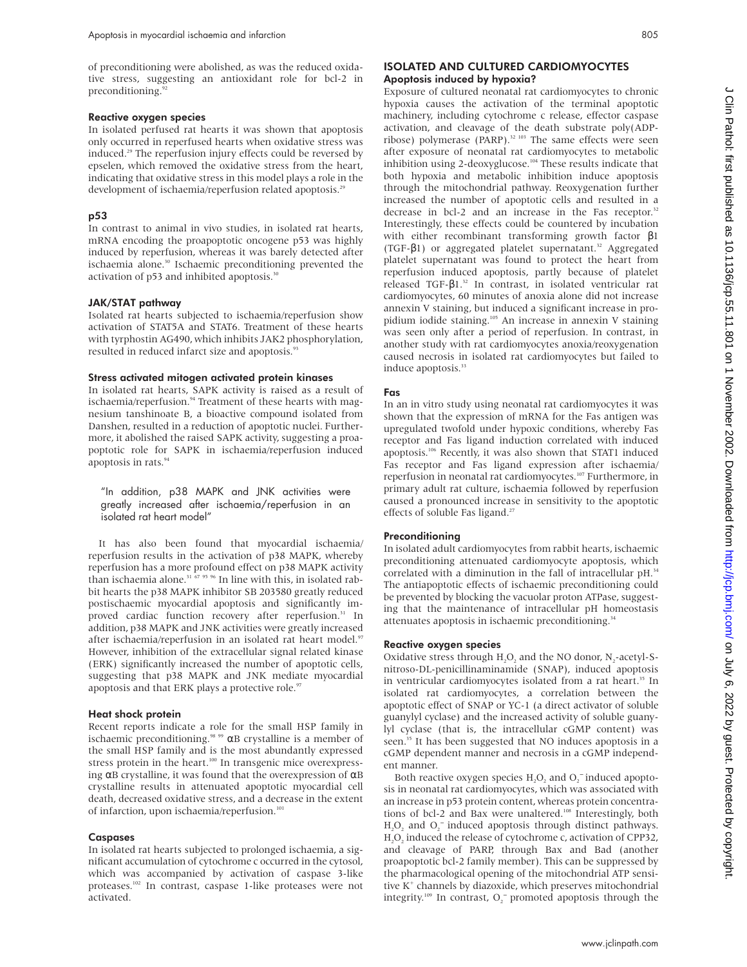of preconditioning were abolished, as was the reduced oxidative stress, suggesting an antioxidant role for bcl-2 in preconditioning.<sup>9</sup>

#### Reactive oxygen species

In isolated perfused rat hearts it was shown that apoptosis only occurred in reperfused hearts when oxidative stress was induced.29 The reperfusion injury effects could be reversed by epselen, which removed the oxidative stress from the heart, indicating that oxidative stress in this model plays a role in the development of ischaemia/reperfusion related apoptosis.<sup>29</sup>

## p53

In contrast to animal in vivo studies, in isolated rat hearts, mRNA encoding the proapoptotic oncogene p53 was highly induced by reperfusion, whereas it was barely detected after ischaemia alone.<sup>30</sup> Ischaemic preconditioning prevented the activation of p53 and inhibited apoptosis.<sup>30</sup>

#### JAK/STAT pathway

Isolated rat hearts subjected to ischaemia/reperfusion show activation of STAT5A and STAT6. Treatment of these hearts with tyrphostin AG490, which inhibits JAK2 phosphorylation, resulted in reduced infarct size and apoptosis.<sup>93</sup>

#### Stress activated mitogen activated protein kinases

In isolated rat hearts, SAPK activity is raised as a result of ischaemia/reperfusion.<sup>94</sup> Treatment of these hearts with magnesium tanshinoate B, a bioactive compound isolated from Danshen, resulted in a reduction of apoptotic nuclei. Furthermore, it abolished the raised SAPK activity, suggesting a proapoptotic role for SAPK in ischaemia/reperfusion induced apoptosis in rats.<sup>94</sup>

"In addition, p38 MAPK and JNK activities were greatly increased after ischaemia/reperfusion in an isolated rat heart model"

It has also been found that myocardial ischaemia/ reperfusion results in the activation of p38 MAPK, whereby reperfusion has a more profound effect on p38 MAPK activity than ischaemia alone.<sup>31 67 95 96</sup> In line with this, in isolated rabbit hearts the p38 MAPK inhibitor SB 203580 greatly reduced postischaemic myocardial apoptosis and significantly improved cardiac function recovery after reperfusion.<sup>31</sup> In addition, p38 MAPK and JNK activities were greatly increased after ischaemia/reperfusion in an isolated rat heart model.<sup>97</sup> However, inhibition of the extracellular signal related kinase (ERK) significantly increased the number of apoptotic cells, suggesting that p38 MAPK and JNK mediate myocardial apoptosis and that ERK plays a protective role.<sup>97</sup>

#### Heat shock protein

Recent reports indicate a role for the small HSP family in ischaemic preconditioning.<sup>98</sup> 99  $\alpha$ B crystalline is a member of the small HSP family and is the most abundantly expressed stress protein in the heart.<sup>100</sup> In transgenic mice overexpressing αB crystalline, it was found that the overexpression of αB crystalline results in attenuated apoptotic myocardial cell death, decreased oxidative stress, and a decrease in the extent of infarction, upon ischaemia/reperfusion.<sup>101</sup>

#### **Caspases**

In isolated rat hearts subjected to prolonged ischaemia, a significant accumulation of cytochrome c occurred in the cytosol, which was accompanied by activation of caspase 3-like proteases.102 In contrast, caspase 1-like proteases were not activated.

## ISOLATED AND CULTURED CARDIOMYOCYTES Apoptosis induced by hypoxia?

Exposure of cultured neonatal rat cardiomyocytes to chronic hypoxia causes the activation of the terminal apoptotic machinery, including cytochrome c release, effector caspase activation, and cleavage of the death substrate poly(ADPribose) polymerase (PARP).<sup>32 103</sup> The same effects were seen after exposure of neonatal rat cardiomyocytes to metabolic inhibition using 2-deoxyglucose.104 These results indicate that both hypoxia and metabolic inhibition induce apoptosis through the mitochondrial pathway. Reoxygenation further increased the number of apoptotic cells and resulted in a decrease in bcl-2 and an increase in the Fas receptor.<sup>32</sup> Interestingly, these effects could be countered by incubation with either recombinant transforming growth factor β1 (TGF-β1) or aggregated platelet supernatant.32 Aggregated platelet supernatant was found to protect the heart from reperfusion induced apoptosis, partly because of platelet released TGF-β1.32 In contrast, in isolated ventricular rat cardiomyocytes, 60 minutes of anoxia alone did not increase annexin V staining, but induced a significant increase in propidium iodide staining.105 An increase in annexin V staining was seen only after a period of reperfusion. In contrast, in another study with rat cardiomyocytes anoxia/reoxygenation caused necrosis in isolated rat cardiomyocytes but failed to induce apoptosis.<sup>33</sup>

#### Fas

In an in vitro study using neonatal rat cardiomyocytes it was shown that the expression of mRNA for the Fas antigen was upregulated twofold under hypoxic conditions, whereby Fas receptor and Fas ligand induction correlated with induced apoptosis.106 Recently, it was also shown that STAT1 induced Fas receptor and Fas ligand expression after ischaemia/ reperfusion in neonatal rat cardiomyocytes.<sup>107</sup> Furthermore, in primary adult rat culture, ischaemia followed by reperfusion caused a pronounced increase in sensitivity to the apoptotic effects of soluble Fas ligand.<sup>27</sup>

#### **Preconditioning**

In isolated adult cardiomyocytes from rabbit hearts, ischaemic preconditioning attenuated cardiomyocyte apoptosis, which correlated with a diminution in the fall of intracellular pH.<sup>34</sup> The antiapoptotic effects of ischaemic preconditioning could be prevented by blocking the vacuolar proton ATPase, suggesting that the maintenance of intracellular pH homeostasis attenuates apoptosis in ischaemic preconditioning.<sup>34</sup>

## Reactive oxygen species

Oxidative stress through H<sub>2</sub>O<sub>2</sub> and the NO donor, N<sub>2</sub>-acetyl-Snitroso-DL-penicillinaminamide (SNAP), induced apoptosis in ventricular cardiomyocytes isolated from a rat heart.<sup>35</sup> In isolated rat cardiomyocytes, a correlation between the apoptotic effect of SNAP or YC-1 (a direct activator of soluble guanylyl cyclase) and the increased activity of soluble guanylyl cyclase (that is, the intracellular cGMP content) was seen.<sup>35</sup> It has been suggested that NO induces apoptosis in a cGMP dependent manner and necrosis in a cGMP independent manner.

Both reactive oxygen species  $H_2O_2$  and  $O_2^-$  induced apoptosis in neonatal rat cardiomyocytes, which was associated with an increase in p53 protein content, whereas protein concentrations of bcl-2 and Bax were unaltered.<sup>108</sup> Interestingly, both  $H_2O_2$  and  $O_2^-$  induced apoptosis through distinct pathways. H<sub>2</sub>O<sub>2</sub> induced the release of cytochrome c, activation of CPP32, and cleavage of PARP, through Bax and Bad (another proapoptotic bcl-2 family member). This can be suppressed by the pharmacological opening of the mitochondrial ATP sensitive K<sup>+</sup> channels by diazoxide, which preserves mitochondrial integrity.<sup>109</sup> In contrast,  $O_2^-$  promoted apoptosis through the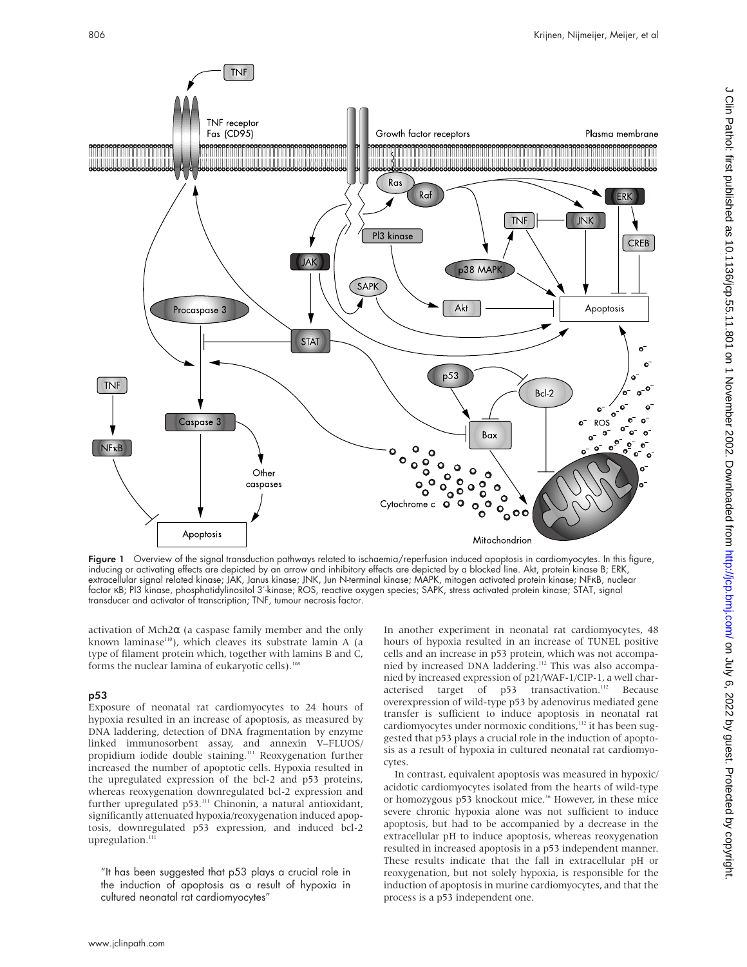

In another experiment in neonatal rat cardiomyocytes, 48 hours of hypoxia resulted in an increase of TUNEL positive cells and an increase in p53 protein, which was not accompanied by increased DNA laddering.<sup>112</sup> This was also accompanied by increased expression of p21/WAF-1/CIP-1, a well characterised target of p53 transactivation.<sup>112</sup> Because overexpression of wild-type p53 by adenovirus mediated gene transfer is sufficient to induce apoptosis in neonatal rat cardiomyocytes under normoxic conditions,<sup>112</sup> it has been suggested that p53 plays a crucial role in the induction of apoptosis as a result of hypoxia in cultured neonatal rat cardiomyocytes.

In contrast, equivalent apoptosis was measured in hypoxic/ acidotic cardiomyocytes isolated from the hearts of wild-type or homozygous p53 knockout mice.<sup>36</sup> However, in these mice severe chronic hypoxia alone was not sufficient to induce apoptosis, but had to be accompanied by a decrease in the extracellular pH to induce apoptosis, whereas reoxygenation resulted in increased apoptosis in a p53 independent manner. These results indicate that the fall in extracellular pH or reoxygenation, but not solely hypoxia, is responsible for the induction of apoptosis in murine cardiomyocytes, and that the process is a p53 independent one.



Figure 1 Overview of the signal transduction pathways related to ischaemia/reperfusion induced apoptosis in cardiomyocytes. In this figure, inducing or activating effects are depicted by an arrow and inhibitory effects are depicted by a blocked line. Akt, protein kinase B; ERK, extracellular signal related kinase; JAK, Janus kinase; JNK, Jun N-terminal kinase; MAPK, mitogen activated protein kinase; NFκB, nuclear factor κB; PI3 kinase, phosphatidylinositol 3′-kinase; ROS, reactive oxygen species; SAPK, stress activated protein kinase; STAT, signal transducer and activator of transcription; TNF, tumour necrosis factor.

activation of Mch2α (a caspase family member and the only known laminase<sup>110</sup>), which cleaves its substrate lamin A (a type of filament protein which, together with lamins B and C, forms the nuclear lamina of eukaryotic cells).<sup>108</sup>

#### p53

Exposure of neonatal rat cardiomyocytes to 24 hours of hypoxia resulted in an increase of apoptosis, as measured by DNA laddering, detection of DNA fragmentation by enzyme linked immunosorbent assay, and annexin V–FLUOS/ propidium iodide double staining.<sup>111</sup> Reoxygenation further increased the number of apoptotic cells. Hypoxia resulted in the upregulated expression of the bcl-2 and p53 proteins, whereas reoxygenation downregulated bcl-2 expression and further upregulated p53.<sup>111</sup> Chinonin, a natural antioxidant, significantly attenuated hypoxia/reoxygenation induced apoptosis, downregulated p53 expression, and induced bcl-2 upregulation.<sup>11</sup>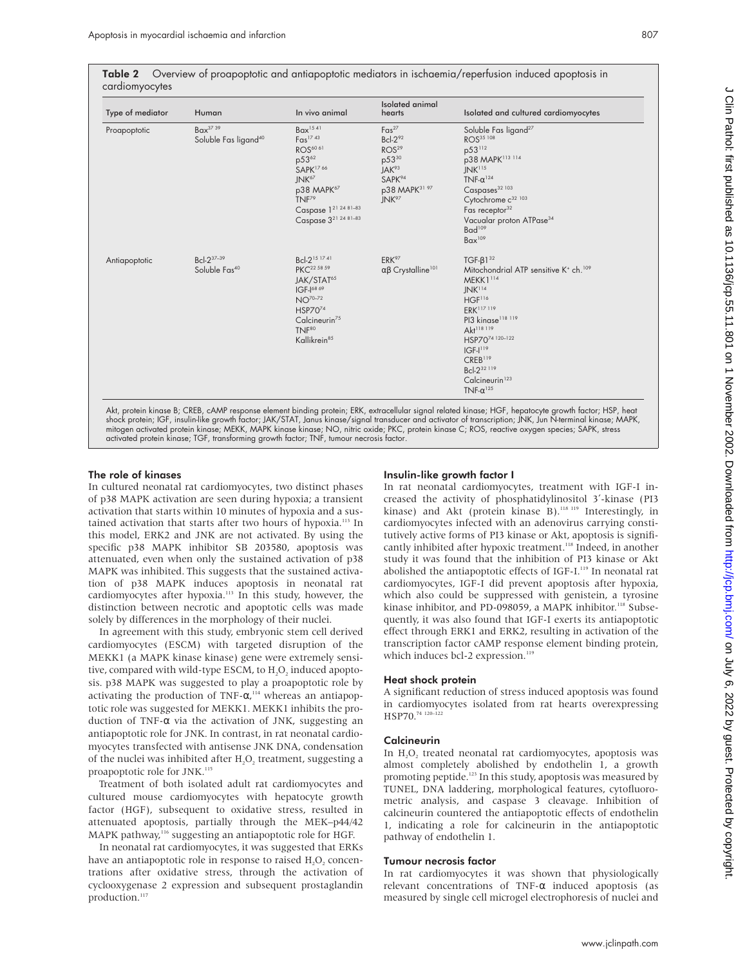|                | Table 2 Overview of proapoptotic and antiapoptotic mediators in ischaemia/reperfusion induced apoptosis in |
|----------------|------------------------------------------------------------------------------------------------------------|
| cardiomyocytes |                                                                                                            |

| Type of mediator | Human                                                        | In vivo animal                                                                                                                                                                                                                            | <b>Isolated</b> animal<br>hearts                                                                                                                                    | Isolated and cultured cardiomyocytes                                                                                                                                                                                                                                                                                                                                                           |
|------------------|--------------------------------------------------------------|-------------------------------------------------------------------------------------------------------------------------------------------------------------------------------------------------------------------------------------------|---------------------------------------------------------------------------------------------------------------------------------------------------------------------|------------------------------------------------------------------------------------------------------------------------------------------------------------------------------------------------------------------------------------------------------------------------------------------------------------------------------------------------------------------------------------------------|
| Proapoptotic     | $Bax^{37}$ <sup>39</sup><br>Soluble Fas ligand <sup>40</sup> | Box <sup>1541</sup><br>$Fas$ <sup>1743</sup><br>ROS6061<br>p53 <sup>62</sup><br>SAPK <sup>1766</sup><br>JNK <sup>67</sup><br>p38 MAPK <sup>67</sup><br>$TNF^{79}$<br>Caspase 1 <sup>21</sup> 24 81-83<br>Caspase 3 <sup>21</sup> 24 81-83 | Fas <sup>27</sup><br>Bcl-292<br>ROS <sup>29</sup><br>p53 <sup>30</sup><br>JAK <sup>93</sup><br>SAPK <sup>94</sup><br>p38 MAPK <sup>31 97</sup><br>JNK <sup>97</sup> | Soluble Fas ligand <sup>27</sup><br>ROS <sup>35 108</sup><br>p53 <sup>112</sup><br>p38 MAPK <sup>113</sup> 114<br>INK <sup>115</sup><br>TNF- $\alpha^{124}$<br>Caspases <sup>32 103</sup><br>Cytochrome c <sup>32 103</sup><br>Fas receptor <sup>32</sup><br>Vacualar proton ATPase <sup>34</sup><br>Bad <sup>109</sup><br>$Bax^{109}$                                                         |
| Antiapoptotic    | Bcl-2 <sup>37-39</sup><br>Soluble Fas <sup>40</sup>          | Bcl-2 <sup>15</sup> 1741<br>PKC <sup>22 58 59</sup><br>JAK/STAT <sup>65</sup><br>IGF-168 69<br>$NO70-72$<br>HSP7074<br>Calcineurin <sup>75</sup><br>TNF <sup>80</sup><br>Kallikrein <sup>85</sup>                                         | ERK <sup>97</sup><br>$\alpha\beta$ Crystalline <sup>101</sup>                                                                                                       | TGF- $\beta$ 1 <sup>32</sup><br>Mitochondrial ATP sensitive K <sup>+</sup> ch. <sup>109</sup><br>MEKK1 <sup>114</sup><br>JNK <sup>114</sup><br>HGF <sup>116</sup><br>ERK <sup>117</sup> 119<br>PI3 kinase <sup>118 119</sup><br>Akt <sup>118</sup> 119<br>HSP7074 120-122<br>$IGF-I119$<br>CREB <sup>119</sup><br>Bcl-2 <sup>32 119</sup><br>Calcineurin <sup>123</sup><br>TNF- $\alpha^{125}$ |

shock protein; IGF, insulin-like growth tactor; JAK/STAT, Janus kinase/signal transducer and activator ot transcription; JNK, Jun N-terminal kinase; MAPK,<br>mitogen activated protein kinase; MEKK, MAPK kinase kinase; NO, nit activated protein kinase; TGF, transforming growth factor; TNF, tumour necrosis factor.

#### The role of kinases

In cultured neonatal rat cardiomyocytes, two distinct phases of p38 MAPK activation are seen during hypoxia; a transient activation that starts within 10 minutes of hypoxia and a sustained activation that starts after two hours of hypoxia.<sup>113</sup> In this model, ERK2 and JNK are not activated. By using the specific p38 MAPK inhibitor SB 203580, apoptosis was attenuated, even when only the sustained activation of p38 MAPK was inhibited. This suggests that the sustained activation of p38 MAPK induces apoptosis in neonatal rat cardiomyocytes after hypoxia.<sup>113</sup> In this study, however, the distinction between necrotic and apoptotic cells was made solely by differences in the morphology of their nuclei.

In agreement with this study, embryonic stem cell derived cardiomyocytes (ESCM) with targeted disruption of the MEKK1 (a MAPK kinase kinase) gene were extremely sensitive, compared with wild-type ESCM, to H<sub>2</sub>O<sub>2</sub> induced apoptosis. p38 MAPK was suggested to play a proapoptotic role by activating the production of TNF- $\alpha$ ,<sup>114</sup> whereas an antiapoptotic role was suggested for MEKK1. MEKK1 inhibits the production of TNF-α via the activation of JNK, suggesting an antiapoptotic role for JNK. In contrast, in rat neonatal cardiomyocytes transfected with antisense JNK DNA, condensation of the nuclei was inhibited after  $H_2O_2$  treatment, suggesting a proapoptotic role for JNK.115

Treatment of both isolated adult rat cardiomyocytes and cultured mouse cardiomyocytes with hepatocyte growth factor (HGF), subsequent to oxidative stress, resulted in attenuated apoptosis, partially through the MEK–p44/42 MAPK pathway,<sup>116</sup> suggesting an antiapoptotic role for HGF.

In neonatal rat cardiomyocytes, it was suggested that ERKs have an antiapoptotic role in response to raised H<sub>2</sub>O<sub>2</sub> concentrations after oxidative stress, through the activation of cyclooxygenase 2 expression and subsequent prostaglandin production.<sup>117</sup>

## Insulin-like growth factor I

In rat neonatal cardiomyocytes, treatment with IGF-I increased the activity of phosphatidylinositol 3′-kinase (PI3 kinase) and Akt (protein kinase B).<sup>118 119</sup> Interestingly, in cardiomyocytes infected with an adenovirus carrying constitutively active forms of PI3 kinase or Akt, apoptosis is significantly inhibited after hypoxic treatment.<sup>118</sup> Indeed, in another study it was found that the inhibition of PI3 kinase or Akt abolished the antiapoptotic effects of IGF-I.<sup>119</sup> In neonatal rat cardiomyocytes, IGF-I did prevent apoptosis after hypoxia, which also could be suppressed with genistein, a tyrosine kinase inhibitor, and PD-098059, a MAPK inhibitor.<sup>118</sup> Subsequently, it was also found that IGF-I exerts its antiapoptotic effect through ERK1 and ERK2, resulting in activation of the transcription factor cAMP response element binding protein, which induces bcl-2 expression.<sup>119</sup>

#### Heat shock protein

A significant reduction of stress induced apoptosis was found in cardiomyocytes isolated from rat hearts overexpressing  $HSP70.<sup>74 120-1</sup>$ </sup>

## Calcineurin

In H<sub>2</sub>O<sub>2</sub> treated neonatal rat cardiomyocytes, apoptosis was almost completely abolished by endothelin 1, a growth promoting peptide.<sup>123</sup> In this study, apoptosis was measured by TUNEL, DNA laddering, morphological features, cytofluorometric analysis, and caspase 3 cleavage. Inhibition of calcineurin countered the antiapoptotic effects of endothelin 1, indicating a role for calcineurin in the antiapoptotic pathway of endothelin 1.

#### Tumour necrosis factor

In rat cardiomyocytes it was shown that physiologically relevant concentrations of TNF-α induced apoptosis (as measured by single cell microgel electrophoresis of nuclei and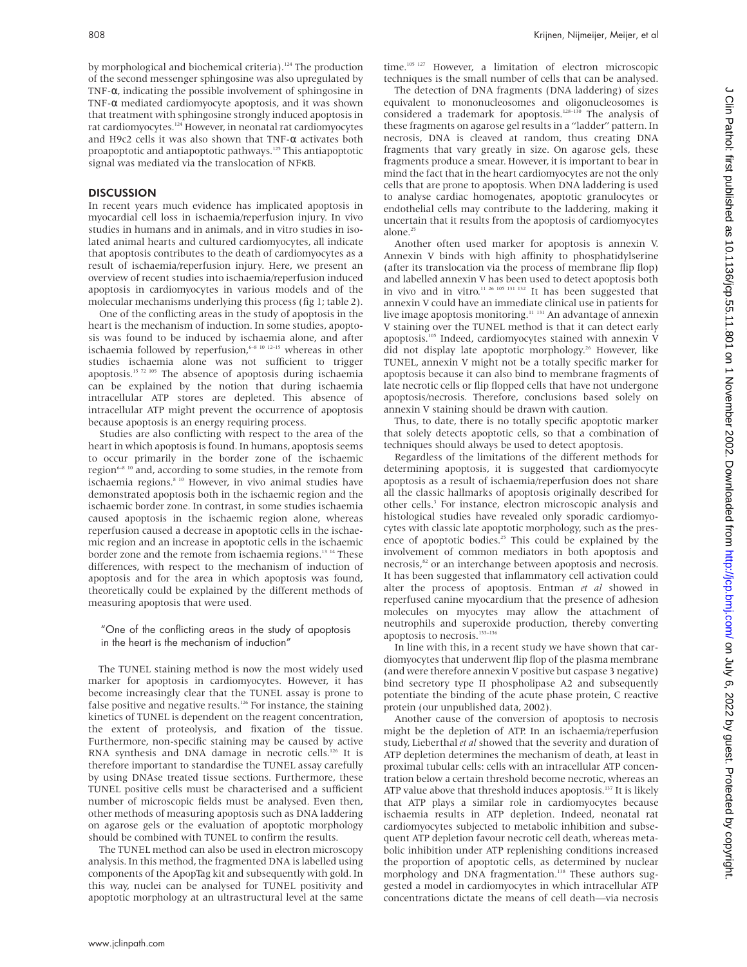by morphological and biochemical criteria).<sup>124</sup> The production of the second messenger sphingosine was also upregulated by TNF-α, indicating the possible involvement of sphingosine in TNF-α mediated cardiomyocyte apoptosis, and it was shown that treatment with sphingosine strongly induced apoptosis in rat cardiomyocytes.124 However, in neonatal rat cardiomyocytes and H9c2 cells it was also shown that TNF-α activates both proapoptotic and antiapoptotic pathways.125 This antiapoptotic signal was mediated via the translocation of NFκB.

## **DISCUSSION**

In recent years much evidence has implicated apoptosis in myocardial cell loss in ischaemia/reperfusion injury. In vivo studies in humans and in animals, and in vitro studies in isolated animal hearts and cultured cardiomyocytes, all indicate that apoptosis contributes to the death of cardiomyocytes as a result of ischaemia/reperfusion injury. Here, we present an overview of recent studies into ischaemia/reperfusion induced apoptosis in cardiomyocytes in various models and of the molecular mechanisms underlying this process (fig 1; table 2).

One of the conflicting areas in the study of apoptosis in the heart is the mechanism of induction. In some studies, apoptosis was found to be induced by ischaemia alone, and after ischaemia followed by reperfusion, $6-8$  10 12-15 whereas in other studies ischaemia alone was not sufficient to trigger apoptosis.15 72 105 The absence of apoptosis during ischaemia can be explained by the notion that during ischaemia intracellular ATP stores are depleted. This absence of intracellular ATP might prevent the occurrence of apoptosis because apoptosis is an energy requiring process.

Studies are also conflicting with respect to the area of the heart in which apoptosis is found. In humans, apoptosis seems to occur primarily in the border zone of the ischaemic region $6-8$  10 and, according to some studies, in the remote from ischaemia regions.<sup>8 10</sup> However, in vivo animal studies have demonstrated apoptosis both in the ischaemic region and the ischaemic border zone. In contrast, in some studies ischaemia caused apoptosis in the ischaemic region alone, whereas reperfusion caused a decrease in apoptotic cells in the ischaemic region and an increase in apoptotic cells in the ischaemic border zone and the remote from ischaemia regions.<sup>13 14</sup> These differences, with respect to the mechanism of induction of apoptosis and for the area in which apoptosis was found, theoretically could be explained by the different methods of measuring apoptosis that were used.

"One of the conflicting areas in the study of apoptosis in the heart is the mechanism of induction"

The TUNEL staining method is now the most widely used marker for apoptosis in cardiomyocytes. However, it has become increasingly clear that the TUNEL assay is prone to false positive and negative results.<sup>126</sup> For instance, the staining kinetics of TUNEL is dependent on the reagent concentration, the extent of proteolysis, and fixation of the tissue. Furthermore, non-specific staining may be caused by active RNA synthesis and DNA damage in necrotic cells.<sup>126</sup> It is therefore important to standardise the TUNEL assay carefully by using DNAse treated tissue sections. Furthermore, these TUNEL positive cells must be characterised and a sufficient number of microscopic fields must be analysed. Even then, other methods of measuring apoptosis such as DNA laddering on agarose gels or the evaluation of apoptotic morphology should be combined with TUNEL to confirm the results.

The TUNEL method can also be used in electron microscopy analysis. In this method, the fragmented DNA is labelled using components of the ApopTag kit and subsequently with gold. In this way, nuclei can be analysed for TUNEL positivity and apoptotic morphology at an ultrastructural level at the same

time.<sup>105 127</sup> However, a limitation of electron microscopic techniques is the small number of cells that can be analysed.

The detection of DNA fragments (DNA laddering) of sizes equivalent to mononucleosomes and oligonucleosomes is considered a trademark for apoptosis.<sup>128-130</sup> The analysis of these fragments on agarose gel results in a "ladder" pattern. In necrosis, DNA is cleaved at random, thus creating DNA fragments that vary greatly in size. On agarose gels, these fragments produce a smear. However, it is important to bear in mind the fact that in the heart cardiomyocytes are not the only cells that are prone to apoptosis. When DNA laddering is used to analyse cardiac homogenates, apoptotic granulocytes or endothelial cells may contribute to the laddering, making it uncertain that it results from the apoptosis of cardiomyocytes alone $^2$ 

Another often used marker for apoptosis is annexin V. Annexin V binds with high affinity to phosphatidylserine (after its translocation via the process of membrane flip flop) and labelled annexin V has been used to detect apoptosis both in vivo and in vitro.<sup>11 26 105 131 132</sup> It has been suggested that annexin V could have an immediate clinical use in patients for live image apoptosis monitoring.<sup>11</sup> <sup>131</sup> An advantage of annexin V staining over the TUNEL method is that it can detect early apoptosis.105 Indeed, cardiomyocytes stained with annexin V did not display late apoptotic morphology.<sup>26</sup> However, like TUNEL, annexin V might not be a totally specific marker for apoptosis because it can also bind to membrane fragments of late necrotic cells or flip flopped cells that have not undergone apoptosis/necrosis. Therefore, conclusions based solely on annexin V staining should be drawn with caution.

Thus, to date, there is no totally specific apoptotic marker that solely detects apoptotic cells, so that a combination of techniques should always be used to detect apoptosis.

Regardless of the limitations of the different methods for determining apoptosis, it is suggested that cardiomyocyte apoptosis as a result of ischaemia/reperfusion does not share all the classic hallmarks of apoptosis originally described for other cells.<sup>3</sup> For instance, electron microscopic analysis and histological studies have revealed only sporadic cardiomyocytes with classic late apoptotic morphology, such as the presence of apoptotic bodies.<sup>25</sup> This could be explained by the involvement of common mediators in both apoptosis and necrosis,<sup>82</sup> or an interchange between apoptosis and necrosis. It has been suggested that inflammatory cell activation could alter the process of apoptosis. Entman *et al* showed in reperfused canine myocardium that the presence of adhesion molecules on myocytes may allow the attachment of neutrophils and superoxide production, thereby converting apoptosis to necrosis.133–136

In line with this, in a recent study we have shown that cardiomyocytes that underwent flip flop of the plasma membrane (and were therefore annexin V positive but caspase 3 negative) bind secretory type II phospholipase A2 and subsequently potentiate the binding of the acute phase protein, C reactive protein (our unpublished data, 2002).

Another cause of the conversion of apoptosis to necrosis might be the depletion of ATP. In an ischaemia/reperfusion study, Lieberthal *et al* showed that the severity and duration of ATP depletion determines the mechanism of death, at least in proximal tubular cells: cells with an intracellular ATP concentration below a certain threshold become necrotic, whereas an ATP value above that threshold induces apoptosis.<sup>137</sup> It is likely that ATP plays a similar role in cardiomyocytes because ischaemia results in ATP depletion. Indeed, neonatal rat cardiomyocytes subjected to metabolic inhibition and subsequent ATP depletion favour necrotic cell death, whereas metabolic inhibition under ATP replenishing conditions increased the proportion of apoptotic cells, as determined by nuclear morphology and DNA fragmentation.<sup>138</sup> These authors suggested a model in cardiomyocytes in which intracellular ATP concentrations dictate the means of cell death—via necrosis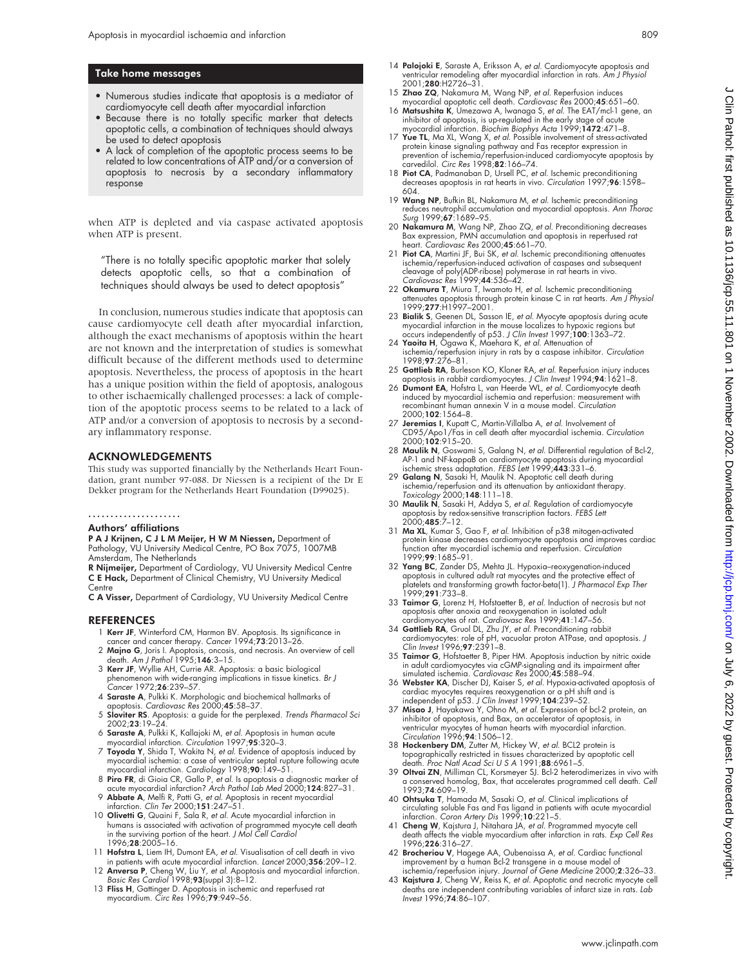#### Take home messages

- Numerous studies indicate that apoptosis is a mediator of cardiomyocyte cell death after myocardial infarction
- Because there is no totally specific marker that detects apoptotic cells, a combination of techniques should always be used to detect apoptosis
- A lack of completion of the apoptotic process seems to be related to low concentrations of ATP and/or a conversion of apoptosis to necrosis by a secondary inflammatory response

when ATP is depleted and via caspase activated apoptosis when ATP is present.

"There is no totally specific apoptotic marker that solely detects apoptotic cells, so that a combination of techniques should always be used to detect apoptosis"

In conclusion, numerous studies indicate that apoptosis can cause cardiomyocyte cell death after myocardial infarction, although the exact mechanisms of apoptosis within the heart are not known and the interpretation of studies is somewhat difficult because of the different methods used to determine apoptosis. Nevertheless, the process of apoptosis in the heart has a unique position within the field of apoptosis, analogous to other ischaemically challenged processes: a lack of completion of the apoptotic process seems to be related to a lack of ATP and/or a conversion of apoptosis to necrosis by a secondary inflammatory response.

## ACKNOWLEDGEMENTS

This study was supported financially by the Netherlands Heart Foundation, grant number 97-088. Dr Niessen is a recipient of the Dr E Dekker program for the Netherlands Heart Foundation (D99025).

## .....................

## Authors' affiliations

P A J Krijnen, C J L M Meijer, H W M Niessen, Department of Pathology, VU University Medical Centre, PO Box 7075, 1007MB Amsterdam, The Netherlands

**R Nijmeijer,** Department of Cardiology, VU University Medical Centre<br>**C E Hack,** Department of Clinical Chemistry, VU University Medical

**Centre** C A Visser, Department of Cardiology, VU University Medical Centre

#### REFERENCES

- 1 **Kerr JF**, Winterford CM, Harmon BV, Apoptosis, Its significance in cancer and cancer therapy. Cancer 1994;73:2013–26.
- 2 Majno G, Joris I. Apoptosis, oncosis, and necrosis. An overview of cell death. Am J Pathol 1995;146:3–15.
- 3 Kerr JF, Wyllie AH, Currie AR. Apoptosis: a basic biological phenomenon with wide-ranging implications in tissue kinetics. *Br J*<br>Cancer 1972;**26**:239–57.
- 4 Saraste A, Pulkki K. Morphologic and biochemical hallmarks of apoptosis. Cardiovasc Res 2000;45:58–37.
- 5 Sloviter RS. Apoptosis: a guide for the perplexed. Trends Pharmacol Sci 2002;23:19–24.
- 6 Saraste A, Pulkki K, Kallajoki M, et al. Apoptosis in human acute myocardial infarction. Circulation 1997;95:320–3.
- 7 Toyoda Y, Shida T, Wakita N, et al. Evidence of apoptosis induced by myocardial ischemia: a case of ventricular septal rupture following acute myocardial infarction. Cardiology 1998;90:149–51.
- 8 Piro FR, di Gioia CR, Gallo P, et al. Is apoptosis a diagnostic marker of
- acute myocardial infarction? Arch Pathol Lab Med 2000;**124**:827–31.<br>9 **Abbate A**, Melfi R, Patti G, et al. Apoptosis in recent myocardial<br>infarction. Clin Ter 2000;**151**:247–51.
- 10 Olivetti G, Quaini F, Sala R, et al. Acute myocardial infarction in humans is associated with activation of programmed myocyte cell death in the surviving portion of the heart. J Mol Cell Cardiol 1996;28:2005–16.
- 
- 11 **Hofstra L**, Liem IH, Dumont EA, *et al.* Visualisation of cell death in vivo<br>in patients with acute myocardial infarction. *Lancet* 2000;356:209–12.<br>12 **Anversa P**, Cheng W, Liu Y, *et al.* Apoptosis and myocardial inf
- 13 Fliss H, Gattinger D. Apoptosis in ischemic and reperfused rat myocardium. Circ Res 1996;79:949–56.
- 14 Palojoki E, Saraste A, Eriksson A, et al. Cardiomyocyte apoptosis and ventricular remodeling after myocardial infarction in rats. Am J Physiol 2001;**280**:H2726–31
- 15 Zhao ZQ, Nakamura M, Wang NP, et al. Reperfusion induces myocardial apoptotic cell death. Cardiovasc Res 2000;45:651–60.
- 16 Matsushita K, Umezawa A, Iwanaga S, et al. The EAT/mcl-1 gene, an inhibitor of apoptosis, is up-regulated in the early stage of acute
- myocardial infarction. Biochim Biophys Acta 1999;1472:471–8.<br>17 Yue TL, Ma XL, Wang X, et al. Possible involvement of stress-activated protein kinase signaling pathway and Fas receptor expression in prevention of ischemia/reperfusion-induced cardiomyocyte apoptosis by carvedilol. Circ Res 1998;82:166-74.
- 18 Piot CA, Padmanaban D, Ursell PC, et al. Ischemic preconditionin decreases apoptosis in rat hearts in vivo. Circulation 1997;96:1598– 604.
- 19 Wang NP, Bufkin BL, Nakamura M, et al. Ischemic preconditioning reduces neutrophil accumulation and myocardial apoptosis. Ann Thorac Surg 1999;67:1689–95.
- 20 Nakamura M, Wang NP, Zhao ZQ, et al. Preconditioning decreases Bax expression, PMN accumulation and apoptosis in reperfused rat eart. Cardiovasc Res 2000;45:661-70.
- 21 Piot CA, Martini JF, Bui SK, et al. Ischemic preconditioning attenuates ischemia/reperfusion-induced activation of caspases and subsequent cleavage of poly(ADP-ribose) polymerase in rat hearts in vivo. Cardiovasc Res 1999;44:536–42.
- 22 Okamura T, Miura T, Iwamoto H, et al. Ischemic preconditioning attenuates apoptosis through protein kinase C in rat hearts. *Am J Physiol*<br>1999;**277**:H1997–2001.
- 23 Bialik S, Geenen DL, Sasson IE, et al. Myocyte apoptosis during acute myocardial infarction in the mouse localizes to hypoxic regions but occurs independently of p53. J Clin Invest 1997; $100$ :1363–72.
- 24 Yaoita H, Ogawa K, Maehara K, et al. Attenuation of ischemia/reperfusion injury in rats by a caspase inhibitor. *Circulation*<br>1998;**97**:276–81.
- 25 Gottlieb RA, Burleson KO, Kloner RA, et al. Reperfusion injury induces
- apoptosis in rabbit cardiomyocytes. J Clin Invest 1994;94:1621-8.<br>26 Dumont EA, Hofstra L, van Heerde WL, *et al*. Cardiomyocyte death<br>induced by myocardial ischemia and reperfusion: measurement with<br>recombinant human anne 2000;102:1564–8.
- 27 Jeremias I, Kupatt C, Martin-Villalba A, et al. Involvement of CD95/Apo1/Fas in cell death after myocardial ischemia. Circulation 2000;102:915–20.
- 28 Maulik N, Goswami S, Galang N, et al. Differential regulation of Bcl-2, AP-1 and NF-kappaB on cardiomyocyte apoptosis during myocardial ischemic stress adaptation. FEBS Lett 1999;443:331–6.
- 29 Galang N, Sasaki H, Maulik N. Apoptotic cell death during ischemia/reperfusion and its attenuation by antioxidant therapy. Toxicology 2000;148:111–18.
- 30 Maulik N, Sasaki H, Addya S, et al. Regulation of cardiomyocyte apoptosis by redox-sensitive transcription factors. FEBS Lett 2000;485:7–12.
- 31 Ma XL, Kumar S, Gao F, et al. Inhibition of p38 mitogen-activated protein kinase decreases cardiomyocyte apoptosis and improves cardiac function after myocardial ischemia and reperfusion. Circulation 1999;99:1685–91.
- 32 Yang BC, Zander DS, Mehta JL. Hypoxia–reoxygenation-induced apoptosis in cultured adult rat myocytes and the protective effect of<br>platelets and transforming growth factor-beta(1). *J Pharmacol Exp Ther*<br>1999;**291**:733–8.
- 33 Taimor G, Lorenz H, Hofstaetter B, et al. Induction of necrosis but not apoptosis after anoxia and reoxygenation in isolated adult
- cardiomyocytes of rat. Cardiovasc Res 1999;41:147–56.<br>34 Gottlieb RA, Gruol DL, Zhu JY, et al. Preconditioning rabbit cardiomyocytes: role of pH, vacuolar proton ATPase, and apoptosis. J Clin Invest 1996;97:2391–8.
- 35 Taimor G, Hofstaetter B, Piper HM. Apoptosis induction by nitric oxide in adult cardiomyocytes via cGMP-signaling and its impairment after simulated ischemia. Cardiovasc Res 2000;45:588–94.
- 36 Webster KA, Discher DJ, Kaiser S, et al. Hypoxia-activated apoptosis of cardiac myocytes requires reoxygenation or a pH shift and is independent of p53. J Clin Invest 1999;104:239–52.
- 37 Misao J, Hayakawa Y, Ohno M, et al. Expression of bcl-2 protein, an inhibitor of apoptosis, and Bax, an accelerator of apoptosis, in
- ventricular myocytes of human hearts with myocardial infarction.<br>Circulation 1996;**94**:1506–12.<br>38 **Hockenbery DM**, Zutter M, Hickey W, *et al*. BCl2 protein is<br>topographically restricted in tissues characterized by apopto death. Proc Natl Acad Sci U S A 1991;88:6961-5
- 39 Oltvai ZN, Milliman CL, Korsmeyer SJ. Bcl-2 heterodimerizes in vivo with a conserved homolog, Bax, that accelerates programmed cell death. Cell 1993;74:609–19.
- 40 Ohtsuka T, Hamada M, Sasaki O, et al. Clinical implications of
- circulating soluble Fas and Fas ligand in patients with acute myocardial<br>infarction. Coron Artery Dis 1999;10:221–5.<br>41 Cheng W, Kajstura J, Nitahara JA, et al. Programmed myocyte cell<br>death affects the viable myocardium a 1996;226:316–27.
- 42 Brocheriou V, Hagege AA, Oubenaissa A, et al. Cardiac functional improvement by a human Bcl-2 transgene in a mouse model of<br>ischemia/reperfusion injury. Journal of Gene Medicine 2000;**2**:326–33.<br>43 **Kajstura J**, Cheng W, Reiss K, *et al*. Apoptotic and necrotic myocyte cell
- deaths are independent contributing variables of infarct size in rats. Lab Invest 1996;74:86–107.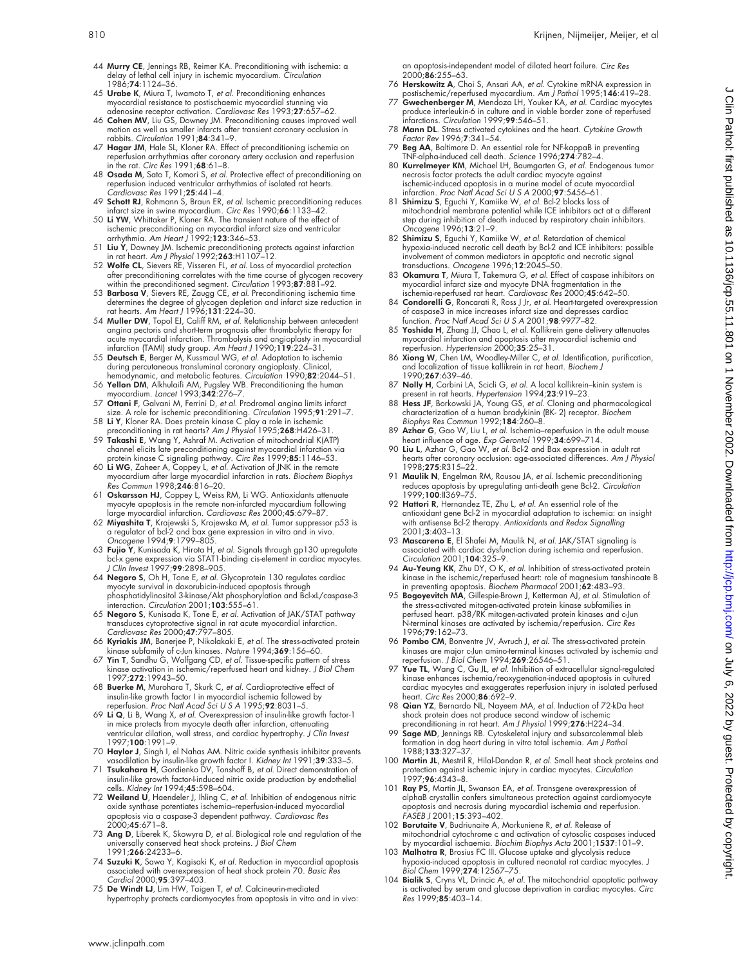- 44 Murry CE, Jennings RB, Reimer KA. Preconditioning with ischemia: a delay of lethal cell injury in ischemic myocardium. Circulation 1986;74:1124–36.
- 45 Urabe K, Miura T, Iwamoto T, et al. Preconditioning enhances myocardial resistance to postischaemic myocardial stunning via adenosine receptor activation. Cardiovasc Res 1993;27:657-62.
- 46 Cohen MV, Liu GS, Downey JM. Preconditioning causes improved wall motion as well as smaller infarcts after transient coronary occlusion in rabbits. Circulation 1991;84:341-9.
- 47 Hagar JM, Hale SL, Kloner RA. Effect of preconditioning ischemia on reperfusion arrhythmias after coronary artery occlusion and reperfusion in the rat. Circ Res 1991;68:61–8.
- 48 Osada M, Sato T, Komori S, et al. Protective effect of preconditioning on reperfusion induced ventricular arrhythmias of isolated rat hearts. Cardiovasc Res 1991;25:441–4.
- 49 Schott RJ, Rohmann S, Braun ER, et al. Ischemic preconditioning reduces infarct size in swine myocardium. Circ Res 1990;66:1133–42. 50 Li YW, Whittaker P, Kloner RA. The transient nature of the effect of
- ischemic preconditioning on myocardial infarct size and ventricular arrhythmia. Am Heart J 1992; 123:346-53.
- 51 Liu Y, Downey JM. Ischemic preconditioning protects against infarction in rat heart. Am J Physiol 1992;263:H1107–12.
- 52 Wolfe CL, Sievers RE, Visseren FL, *et al*. Loss of myocardial protection after preconditioning correlates with the time course of glycogen recovery within the preconditioned segment. *Circulation* 1993;87:881–92.
- 53 Barbosa V, Sievers RE, Zaugg CE, et al. Preconditioning ischemia time determines the degree of glycogen depletion and infarct size reduction in<br>rat hearts. A*m Heart* J 1996;**131**:224–30.
- 54 Muller DW, Topol EJ, Califf RM, et al. Relationship between antecedent angina pectoris and short-term prognosis after thrombolytic therapy for acute myocardial infarction. Thrombolysis and angioplasty in myocardial infarction (TAMI) study group. A*m Heart J* 1990;**119**:224–31.<br>55 **Deutsch E**, Berger M, Kussmaul WG, *et al.* Adaptation to ischemia
- during percutaneous transluminal coronary angioplasty. Clinical, hemodynamic, and metabolic features. Circulation 1990;82:2044–51.
- 56 Yellon DM, Alkhulaifi AM, Pugsley WB. Preconditioning the human myocardium. Lancet 1993;342:276–7.
- 57 Ottani F, Galvani M, Ferrini D, et al. Prodromal angina limits infarct size. A role for ischemic preconditioning. Circulation 1995;91:291-7. 58 Li Y, Kloner RA. Does protein kinase C play a role in ischemic
- preconditioning in rat hearts? Am J Physiol 1995;268:H426-31
- 59 Takashi E, Wang Y, Ashraf M. Activation of mitochondrial K(ATP) channel elicits late preconditioning against myocardial infarction via protein kinase C signaling pathway. Circ Res 1999;85:1146–53. 60 Li WG, Zaheer A, Coppey L, et al. Activation of JNK in the remote
- myocardium after large myocardial infarction in rats. Biochem Biophys Res Commun 1998;246:816–20.
- 61 Oskarsson HJ, Coppey L, Weiss RM, Li WG. Antioxidants attenuate myocyte apoptosis in the remote non-infarcted myocardium following<br>large myocardial infarction. *Cardiovasc Res* 2000;**45**:679–87.
- 62 Miyashita T, Krajewski S, Krajewska M, et al. Tumor suppressor p53 is a regulator of bcl-2 and bax gene expression in vitro and in vivo. Oncogene 1994;9:1799–805.
- 63 Fujio Y, Kunisada K, Hirota H, et al. Signals through gp130 upregulate bcl-x gene expression via STAT1-binding cis-element in cardiac myocytes.<br>J Clin Invest 1997;**99**:2898–905.<br>64 **Negoro S**, Oh H, Tone E, *et al*. Glycoprotein 130 regulates cardiac
- myocyte survival in doxorubicin-induced apoptosis through phosphatidylinositol 3-kinase/Akt phosphorylation and Bcl-xL/caspase-3<br>interaction. *Circulation* 2001;**103**:555–61.
- 65 Negoro S, Kunisada K, Tone E, et al. Activation of JAK/STAT pathway transduces cytoprotective signal in rat acute myocardial infarction. Cardiovasc Res 2000;47:797–805.
- 66 Kyriakis JM, Banerjee P, Nikolakaki E, et al. The stress-activated protein kinase subfamily of c-Jun kinases. Nature 1994;369:156–60.
- 67 Yin T, Sandhu G, Wolfgang CD, et al. Tissue-specific pattern of stress kinase activation in ischemic/reperfused heart and kidney. J Biol Chem 1997;272:19943–50.
- 68 Buerke M, Murohara T, Skurk C, et al. Cardioprotective effect of insulin-like growth factor I in myocardial ischemia followed by reperfusion. Proc Natl Acad Sci U S A 1995;92:8031–5.
- 69 Li Q, Li B, Wang X, et al. Overexpression of insulin-like growth factor-1 in mice protects from myocyte death after infarction, attenuating ventricular dilation, wall stress, and cardiac hypertrophy. *J Clin Invest*<br>1997;**100**:1991–9.
- 70 Haylor J, Singh I, el Nahas AM. Nitric oxide synthesis inhibitor prevents vasodilation by insulin-like growth factor I. *Kidney Int* 1991;**39**:333–5.<br>71 **Tsukahara H**, Gordienko DV, Tonshoff B, *et al*. Direct demonstration of
- insulin-like growth factor-I-induced nitric oxide production by endothelial cells. Kidney Int 1994;45:598–604.
- 72 Weiland U, Haendeler J, Ihling C, et al. Inhibition of endogenous nitric oxide synthase potentiates ischemia–reperfusion-induced myocardial apoptosis via a caspase-3 dependent pathway. Cardiovasc Res 2000;45:671–8.
- 73 Ang D, Liberek K, Skowyra D, et al. Biological role and regulation of the universally conserved heat shock proteins. J Biol Chem 1991;266:24233–6.
- 74 Suzuki K, Sawa Y, Kagisaki K, et al. Reduction in myocardial apoptosis associated with overexpression of heat shock protein 70. Basic Res Cardiol 2000;95:397–403.
- 75 De Windt LJ, Lim HW, Taigen T, et al. Calcineurin-mediated hypertrophy protects cardiomyocytes from apoptosis in vitro and in vivo:

an apoptosis-independent model of dilated heart failure. Circ Res 2000;86:255–63.

- 76 Herskowitz A, Choi S, Ansari AA, et al. Cytokine mRNA expression in postischemic/reperfused myocardium. Am J Pathol 1995;146:419–28.
- 77 Gwechenberger M, Mendoza LH, Youker KA, et al. Cardiac myocytes produce interleukin-6 in culture and in viable border zone of reperfused infarctions. Circulation 1999;99:546–51.
- 78 Mann DL. Stress activated cytokines and the heart. Cytokine Growth Factor Rev 1996;7:341–54.
- 79 Beg AA, Baltimore D. An essential role for NF-kappaB in preventing TNF-alpha-induced cell death. Science 1996;274:782–4. 80 Kurrelmeyer KM, Michael LH, Baumgarten G, et al. Endogenous tumor
- necrosis factor protects the adult cardiac myocyte against ischemic-induced apoptosis in a murine model of acute myocardial infarction. Proc Natl Acad Sci U S A 2000;97:5456–61.
- 81 Shimizu S, Eguchi Y, Kamiike W, et al. Bcl-2 blocks loss of mitochondrial membrane potential while ICE inhibitors act at a different step during inhibition of death induced by respiratory chain inhibitors. Oncogene 1996;13:21–9.
- 82 Shimizu S, Eguchi Y, Kamiike W, et al. Retardation of chemical hypoxia-induced necrotic cell death by Bcl-2 and ICE inhibitors: possible involvement of common mediators in apoptotic and necrotic signal<br>transductions. Oncogene 1996;**12**:2045–50.<br>83 **Okamura T**, Miura T, Takemura G*, et al*. Effect of caspase inhibitors on
- myocardial infarct size and myocyte DNA fragmentation in the ischemia-reperfused rat heart. Cardiovasc Res 2000;45:642–50.
- 84 Condorelli G, Roncarati R, Ross J Jr, et al. Heart-targeted overexpression of caspase3 in mice increases infarct size and depresses cardiac function. Proc Natl Acad Sci U S A 2001;98:9977–82.
- 85 Yoshida H, Zhang JJ, Chao L, et al. Kallikrein gene delivery attenuates myocardial infarction and apoptosis after myocardial ischemia and<br>reperfusion. *Hypertension* 2000;**35**:25–31.
- 86 Xiong W, Chen LM, Woodley-Miller C, et al. Identification, purification, and localization of tissue kallikrein in rat heart. Biochem J 1990;267:639–46.
- 87 Nolly H, Carbini LA, Scicli G, et al. A local kallikrein-kinin system is
- present in rat hearts. Hypertension 1994;23:919–23. 88 Hess JF, Borkowski JA, Young GS, et al. Cloning and pharmacological characterization of a human bradykinin (BK- 2) receptor. Biochem Biophys Res Commun 1992;184:260-8.
- 89 Azhar G, Gao W, Liu L, et al. Ischemia-reperfusion in the adult mouse
- heart influence of age. Exp Gerontol 1999;34:699–714.<br>90 Liu L, Azhar G, Gao W, et al. Bcl-2 and Bax expression in adult rat<br>hearts after coronary occlusion: age-associated differences. Am J Physiol<br>1998;275:R315–22.
- 91 Maulik N, Engelman RM, Rousou JA, et al. Ischemic preconditioning reduces apoptosis by upregulating anti-death gene Bcl-2. Circulation 1999;100:II369–75.
- 92 **Hattori R**, Hernandez TE, Zhu L, *et al*. An essential role of the<br>antioxidant gene Bcl-2 in myocardial adaptation to ischemia: an insight<br>with antisense Bcl-2 therapy. *Antioxidants and Redox Signalling* 2001;3:403–13.
- 93 Mascareno E, El Shafei M, Maulik N, et al. JAK/STAT signaling is associated with cardiac dysfunction during ischemia and reperfusion. Circulation 2001;104:325–9.
- 94 Au-Yeung KK, Zhu DY, O K, et al. Inhibition of stress-activated protein kinase in the ischemic/reperfused heart: role of magnesium tanshinoate B in preventing apoptosis. Biochem Pharmacol 2001;62:483–93.
- 95 Bogoyevitch MA, Gillespie-Brown J, Ketterman AJ, et al. Stimulation of the stress-activated mitogen-activated protein kinase subfamilies in perfused heart. p38/RK mitogen-activated protein kinases and c-Jun N-terminal kinases are activated by ischemia/reperfusion. Circ Res 1996;79:162–73.
- 96 Pombo CM, Bonventre JV, Avruch J, et al. The stress-activated protein kinases are major c-Jun amino-terminal kinases activated by ischemia and reperfusion. J Biol Chem 1994;269:26546–51.
- 97 Yue TL, Wang C, Gu JL, et al. Inhibition of extracellular signal-regulated kinase enhances ischemia/reoxygenation-induced apoptosis in cultured cardiac myocytes and exaggerates reperfusion injury in isolated perfused heart. Circ Res 2000;86:692–9.
- 98 Qian YZ, Bernardo NL, Nayeem MA, et al. Induction of 72-kDa heat shock protein does not produce second window of ischemi preconditioning in rat heart. Am J Physiol 1999;276:H224–34.
- 99 Sage MD, Jennings RB. Cytoskeletal injury and subsarcolemmal bleb formation in dog heart during in vitro total ischemia. Am J Pathol 1988;133:327–37.
- 100 Martin JL, Mestril R, Hilal-Dandan R, et al. Small heat shock proteins and protection against ischemic injury in cardiac myocytes. *Circulation*<br>1997;**96**:4343–8.
- 101 Ray PS, Martin JL, Swanson EA, et al. Transgene overexpression of alphaB crystallin confers simultaneous protection against cardiomyocyte apoptosis and necrosis during myocardial ischemia and reperfusion. FASEB J 2001;15:393–402.
- 102 Borutaite V, Budriunaite A, Morkuniene R, et al. Release of mitochondrial cytochrome c and activation of cytosolic caspases induced
- by myocardial ischaemia. Biochim Biophys Acta 2001;1**537**:101–9.<br>103 Malhotra R, Brosius FC III. Glucose uptake and glycolysis reduce<br>hypoxia-induced apoptosis in cultured neonatal rat cardiac myocytes. J Biol Chem 1999;274:12567–75.
- 104 Bialik S, Cryns VL, Drincic A, et al. The mitochondrial apoptotic pathway is activated by serum and glucose deprivation in cardiac myocytes. Circ Res 1999;85:403–14.